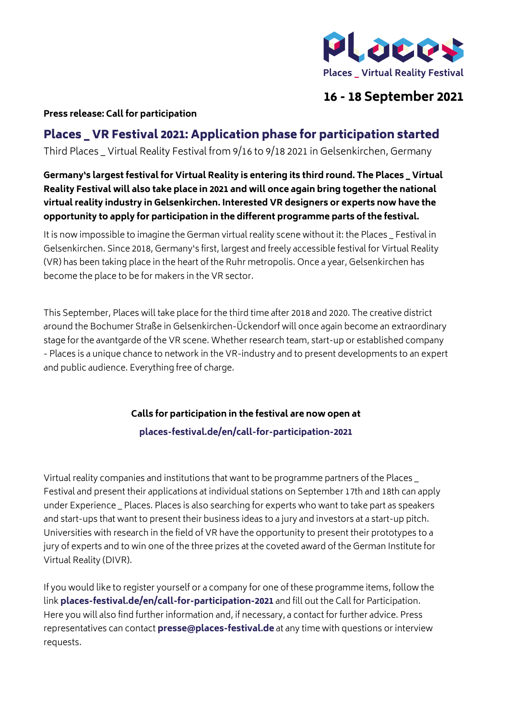

## **16 - 18 September 2021**

## **Press release: Call for participation**

## Places \_ VR Festival 2021: Application phase for participation started

Third Places \_ Virtual Reality Festival from 9/16 to 9/18 2021 in Gelsenkirchen, Germany

**Germany's largest festival for Virtual Reality is entering its third round. The Places \_ Virtual Reality Festival will also take place in 2021 and will once again bring together the national virtual reality industry in Gelsenkirchen. Interested VR designers or experts now have the opportunity to apply for participation in the different programme parts of the festival.**

It is now impossible to imagine the German virtual reality scene without it: the Places \_ Festival in Gelsenkirchen. Since 2018, Germany's first, largest and freely accessible festival for Virtual Reality (VR) has been taking place in the heart of the Ruhr metropolis. Once a year, Gelsenkirchen has become the place to be for makers in the VR sector.

This September, Places will take place for the third time after 2018 and 2020. The creative district around the Bochumer Straße in Gelsenkirchen-Ückendorf will once again become an extraordinary stage for the avantgarde of the VR scene. Whether research team, start-up or established company - Places is a unique chance to network in the VR-industry and to present developments to an expert and public audience. Everything free of charge.

> **Calls for participation in the festival are now open at [places-festival.de/en/call-for-participation-2021](http://places-festival.de/en/call-for-participation-2021 )**

Virtual reality companies and institutions that want to be programme partners of the Places \_ Festival and present their applications at individual stations on September 17th and 18th can apply under Experience \_ Places. Places is also searching for experts who want to take part as speakers and start-ups that want to present their business ideas to a jury and investors at a start-up pitch. Universities with research in the field of VR have the opportunity to present their prototypes to a jury of experts and to win one of the three prizes at the coveted award of the German Institute for Virtual Reality (DIVR).

If you would like to register yourself or a company for one of these programme items, follow the link **[places-festival.de/en/call-for-participation-2021](http://places-festival.de/en/call-for-participation-2021)** and fill out the Call for Participation. Here you will also find further information and, if necessary, a contact for further advice. Press representatives can contact **[presse@places-festival.de](mailto:presse%40places-festival.de?subject=)** at any time with questions or interview requests.